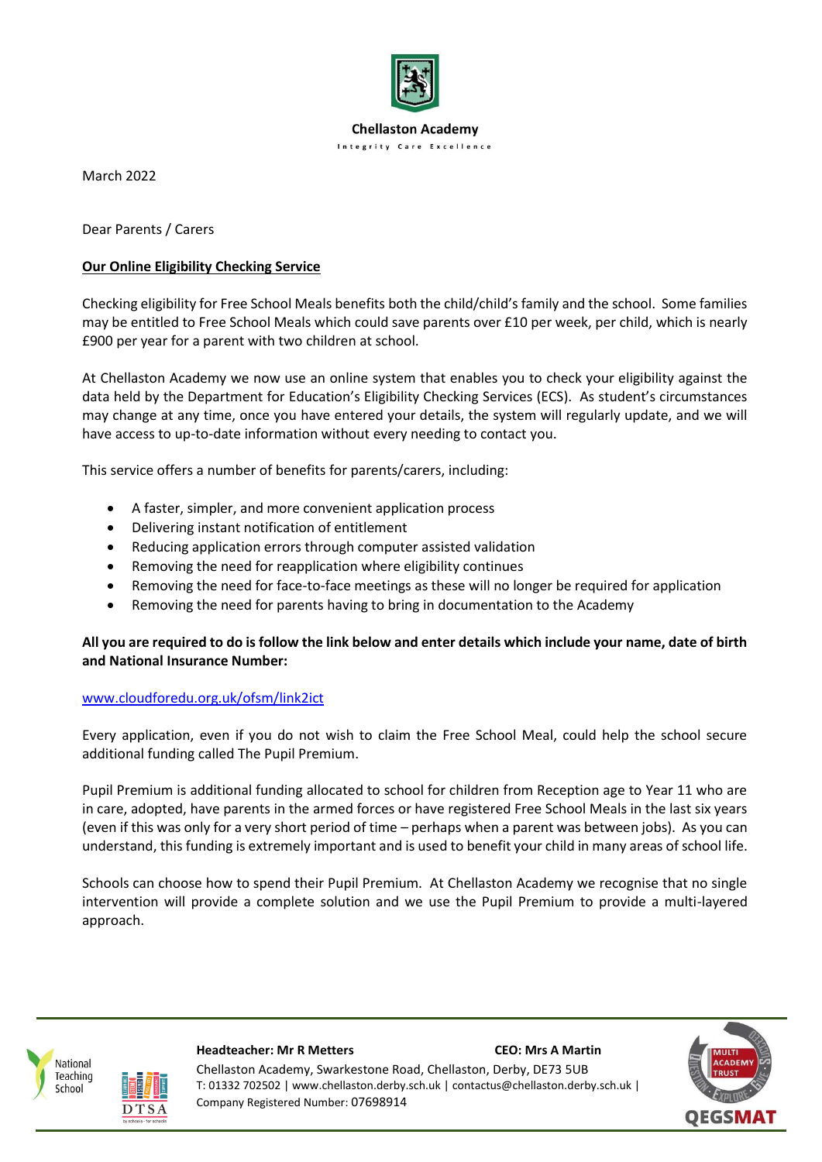

**Chellaston Academy Integrity Care Excellence** 

March 2022

Dear Parents / Carers

## **Our Online Eligibility Checking Service**

Checking eligibility for Free School Meals benefits both the child/child's family and the school. Some families may be entitled to Free School Meals which could save parents over £10 per week, per child, which is nearly £900 per year for a parent with two children at school.

At Chellaston Academy we now use an online system that enables you to check your eligibility against the data held by the Department for Education's Eligibility Checking Services (ECS). As student's circumstances may change at any time, once you have entered your details, the system will regularly update, and we will have access to up-to-date information without every needing to contact you.

This service offers a number of benefits for parents/carers, including:

- A faster, simpler, and more convenient application process
- Delivering instant notification of entitlement
- Reducing application errors through computer assisted validation
- Removing the need for reapplication where eligibility continues
- Removing the need for face-to-face meetings as these will no longer be required for application
- Removing the need for parents having to bring in documentation to the Academy

## **All you are required to do is follow the link below and enter details which include your name, date of birth and National Insurance Number:**

## [www.cloudforedu.org.uk/ofsm/link2ict](http://www.cloudforedu.org.uk/ofsm/link2ict)

Every application, even if you do not wish to claim the Free School Meal, could help the school secure additional funding called The Pupil Premium.

Pupil Premium is additional funding allocated to school for children from Reception age to Year 11 who are in care, adopted, have parents in the armed forces or have registered Free School Meals in the last six years (even if this was only for a very short period of time – perhaps when a parent was between jobs). As you can understand, this funding is extremely important and is used to benefit your child in many areas of school life.

Schools can choose how to spend their Pupil Premium. At Chellaston Academy we recognise that no single intervention will provide a complete solution and we use the Pupil Premium to provide a multi-layered approach.





School

#### **Headteacher: Mr R Metters CEO: Mrs A Martin**

Chellaston Academy, Swarkestone Road, Chellaston, Derby, DE73 5UB T: 01332 702502 | www.chellaston.derby.sch.uk | contactus@chellaston.derby.sch.uk | Company Registered Number: 07698914